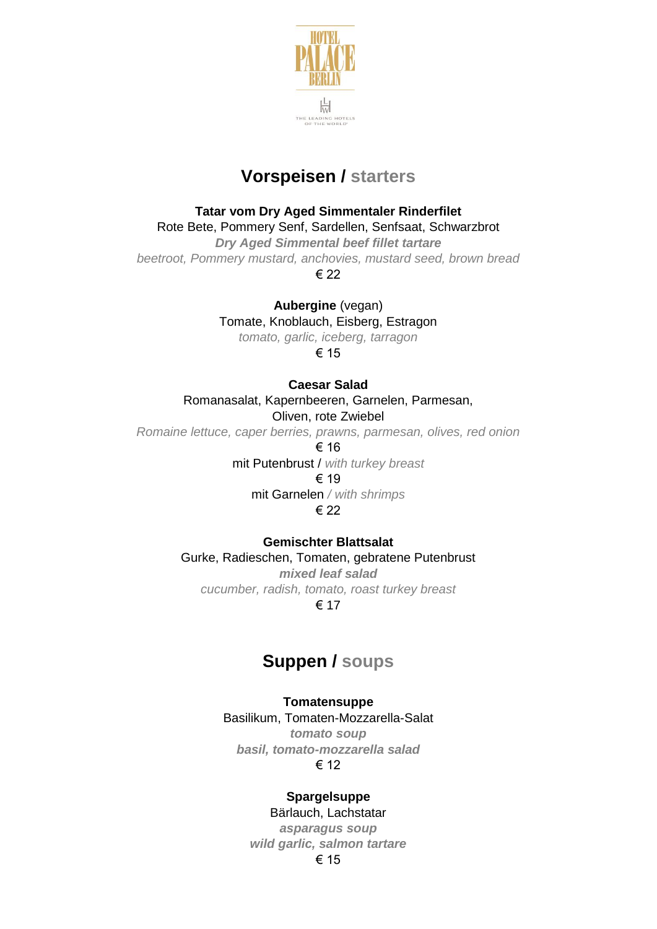

# **Vorspeisen / starters**

## **Tatar vom Dry Aged Simmentaler Rinderfilet**

Rote Bete, Pommery Senf, Sardellen, Senfsaat, Schwarzbrot

*Dry Aged Simmental beef fillet tartare beetroot, Pommery mustard, anchovies, mustard seed, brown bread* € 22

**Aubergine** (vegan)

Tomate, Knoblauch, Eisberg, Estragon

*tomato, garlic, iceberg, tarragon*

€ 15

## **Caesar Salad**

Romanasalat, Kapernbeeren, Garnelen, Parmesan,

## Oliven, rote Zwiebel

*Romaine lettuce, caper berries, prawns, parmesan, olives, red onion*

€ 16

mit Putenbrust / *with turkey breast*

€ 19

mit Garnelen */ with shrimps* € 22

## **Gemischter Blattsalat**

Gurke, Radieschen, Tomaten, gebratene Putenbrust *mixed leaf salad cucumber, radish, tomato, roast turkey breast* € 17

# **Suppen / soups**

## **Tomatensuppe**

Basilikum, Tomaten-Mozzarella-Salat *tomato soup basil, tomato-mozzarella salad* € 12

## **Spargelsuppe**

# Bärlauch, Lachstatar

*asparagus soup wild garlic, salmon tartare*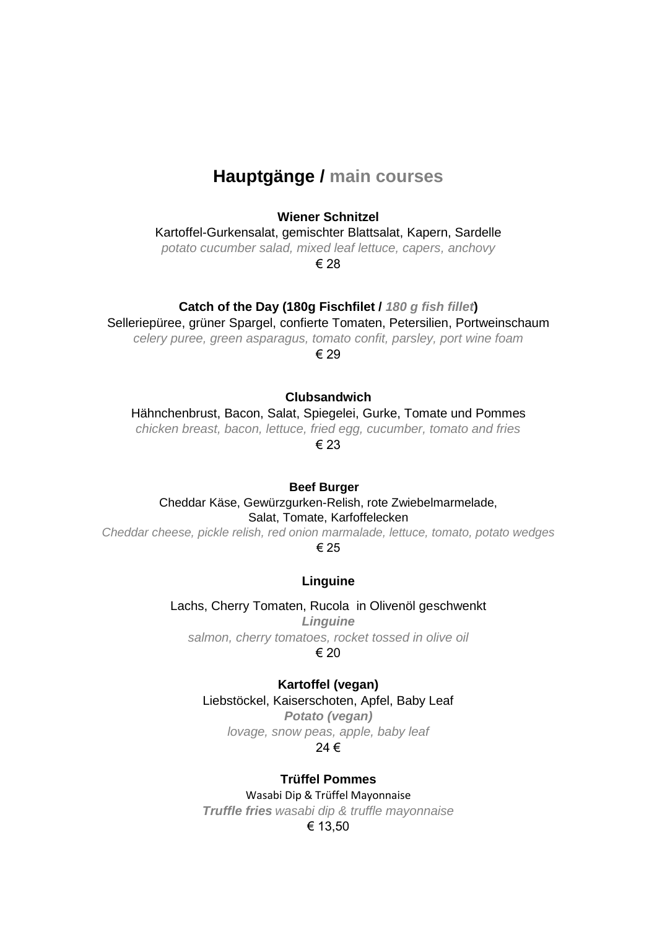# **Hauptgänge / main courses**

#### **Wiener Schnitzel**

Kartoffel-Gurkensalat, gemischter Blattsalat, Kapern, Sardelle

*potato cucumber salad, mixed leaf lettuce, capers, anchovy*

€ 28

## **Catch of the Day (180g Fischfilet /** *180 g fish fillet***)**

Selleriepüree, grüner Spargel, confierte Tomaten, Petersilien, Portweinschaum

*celery puree, green asparagus, tomato confit, parsley, port wine foam*

€ 29

### **Clubsandwich**

Hähnchenbrust, Bacon, Salat, Spiegelei, Gurke, Tomate und Pommes *chicken breast, bacon, lettuce, fried egg, cucumber, tomato and fries*

€ 23

#### **Beef Burger**

Cheddar Käse, Gewürzgurken-Relish, rote Zwiebelmarmelade, Salat, Tomate, Karfoffelecken

*Cheddar cheese, pickle relish, red onion marmalade, lettuce, tomato, potato wedges* € 25

#### **Linguine**

Lachs, Cherry Tomaten, Rucola in Olivenöl geschwenkt *Linguine salmon, cherry tomatoes, rocket tossed in olive oil*

€ 20

**Kartoffel (vegan)** Liebstöckel, Kaiserschoten, Apfel, Baby Leaf *Potato (vegan) lovage, snow peas, apple, baby leaf*

## 24 €

## **Trüffel Pommes**

Wasabi Dip & Trüffel Mayonnaise *Truffle fries wasabi dip & truffle mayonnaise* € 13,50